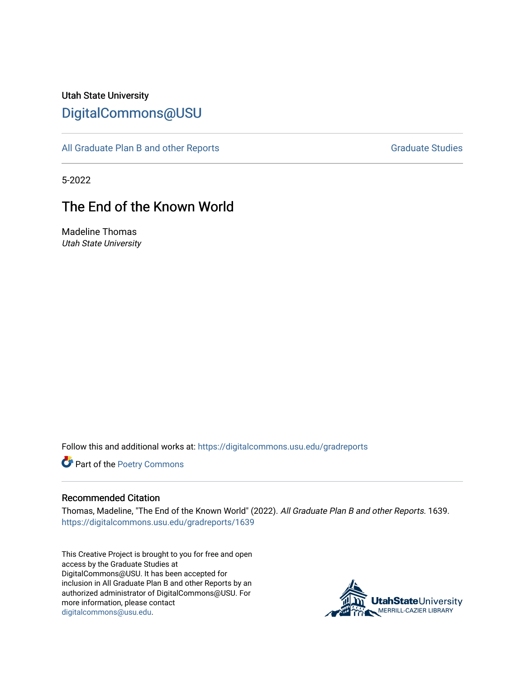# Utah State University [DigitalCommons@USU](https://digitalcommons.usu.edu/)

[All Graduate Plan B and other Reports](https://digitalcommons.usu.edu/gradreports) **Graduate Studies** Graduate Studies

5-2022

# The End of the Known World

Madeline Thomas Utah State University

Follow this and additional works at: [https://digitalcommons.usu.edu/gradreports](https://digitalcommons.usu.edu/gradreports?utm_source=digitalcommons.usu.edu%2Fgradreports%2F1639&utm_medium=PDF&utm_campaign=PDFCoverPages)

Part of the [Poetry Commons](http://network.bepress.com/hgg/discipline/1153?utm_source=digitalcommons.usu.edu%2Fgradreports%2F1639&utm_medium=PDF&utm_campaign=PDFCoverPages) 

#### Recommended Citation

Thomas, Madeline, "The End of the Known World" (2022). All Graduate Plan B and other Reports. 1639. [https://digitalcommons.usu.edu/gradreports/1639](https://digitalcommons.usu.edu/gradreports/1639?utm_source=digitalcommons.usu.edu%2Fgradreports%2F1639&utm_medium=PDF&utm_campaign=PDFCoverPages) 

This Creative Project is brought to you for free and open access by the Graduate Studies at DigitalCommons@USU. It has been accepted for inclusion in All Graduate Plan B and other Reports by an authorized administrator of DigitalCommons@USU. For more information, please contact [digitalcommons@usu.edu.](mailto:digitalcommons@usu.edu)

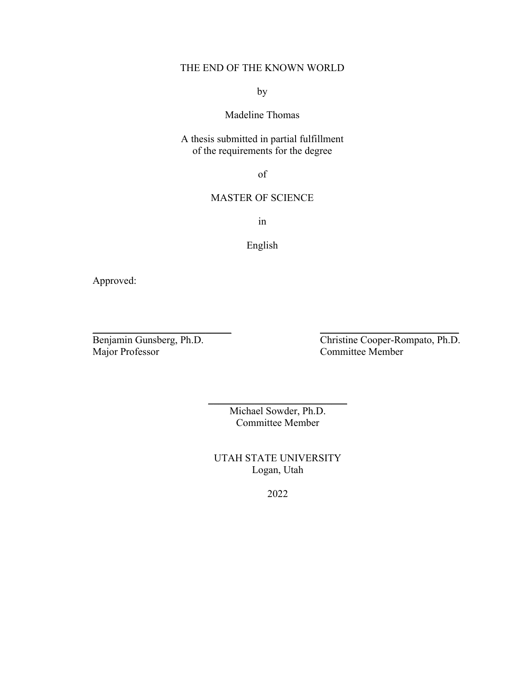## THE END OF THE KNOWN WORLD

by

## Madeline Thomas

A thesis submitted in partial fulfillment of the requirements for the degree

of

### MASTER OF SCIENCE

in

### English

Approved:

Benjamin Gunsberg, Ph.D.<br>
Major Professor Committee Member Committee Member

> Michael Sowder, Ph.D. Committee Member

 $\overline{\phantom{a}}$  , where  $\overline{\phantom{a}}$  , where  $\overline{\phantom{a}}$  , where  $\overline{\phantom{a}}$ 

 $\overline{\phantom{a}}$  , and the contract of the contract of the contract of the contract of the contract of the contract of the contract of the contract of the contract of the contract of the contract of the contract of the contrac

UTAH STATE UNIVERSITY Logan, Utah

2022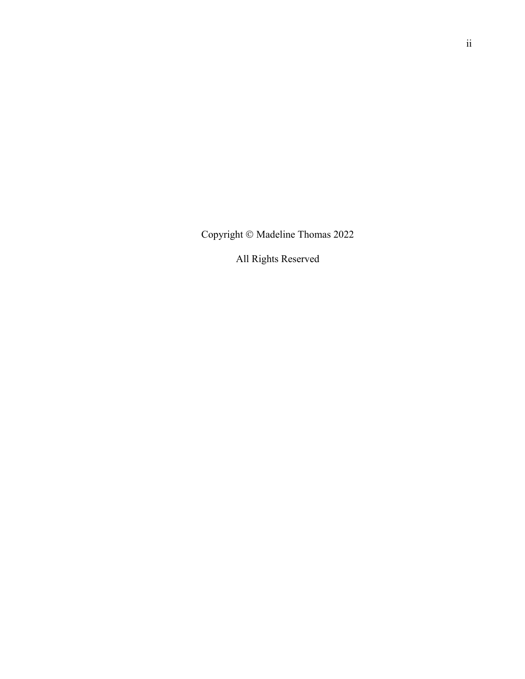Copyright Ó Madeline Thomas 2022

All Rights Reserved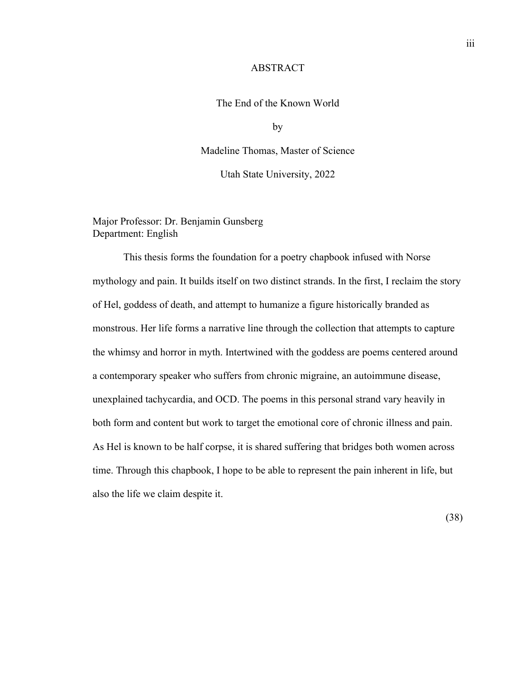#### ABSTRACT

#### The End of the Known World

by

Madeline Thomas, Master of Science

Utah State University, 2022

Major Professor: Dr. Benjamin Gunsberg Department: English

This thesis forms the foundation for a poetry chapbook infused with Norse mythology and pain. It builds itself on two distinct strands. In the first, I reclaim the story of Hel, goddess of death, and attempt to humanize a figure historically branded as monstrous. Her life forms a narrative line through the collection that attempts to capture the whimsy and horror in myth. Intertwined with the goddess are poems centered around a contemporary speaker who suffers from chronic migraine, an autoimmune disease, unexplained tachycardia, and OCD. The poems in this personal strand vary heavily in both form and content but work to target the emotional core of chronic illness and pain. As Hel is known to be half corpse, it is shared suffering that bridges both women across time. Through this chapbook, I hope to be able to represent the pain inherent in life, but also the life we claim despite it.

(38)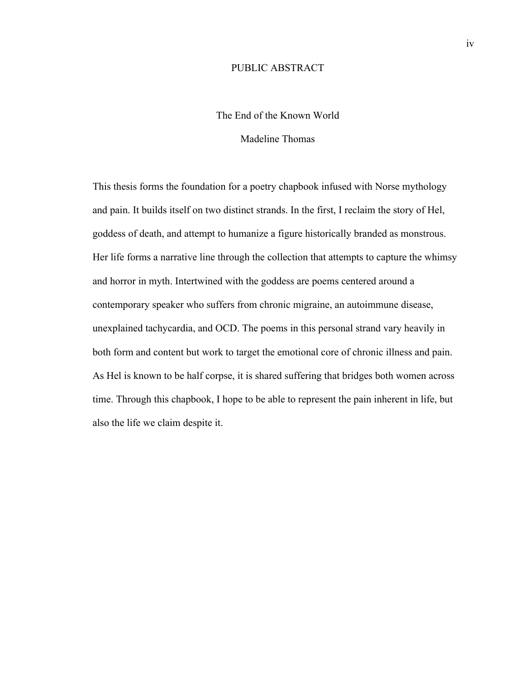#### PUBLIC ABSTRACT

## The End of the Known World

#### Madeline Thomas

This thesis forms the foundation for a poetry chapbook infused with Norse mythology and pain. It builds itself on two distinct strands. In the first, I reclaim the story of Hel, goddess of death, and attempt to humanize a figure historically branded as monstrous. Her life forms a narrative line through the collection that attempts to capture the whimsy and horror in myth. Intertwined with the goddess are poems centered around a contemporary speaker who suffers from chronic migraine, an autoimmune disease, unexplained tachycardia, and OCD. The poems in this personal strand vary heavily in both form and content but work to target the emotional core of chronic illness and pain. As Hel is known to be half corpse, it is shared suffering that bridges both women across time. Through this chapbook, I hope to be able to represent the pain inherent in life, but also the life we claim despite it.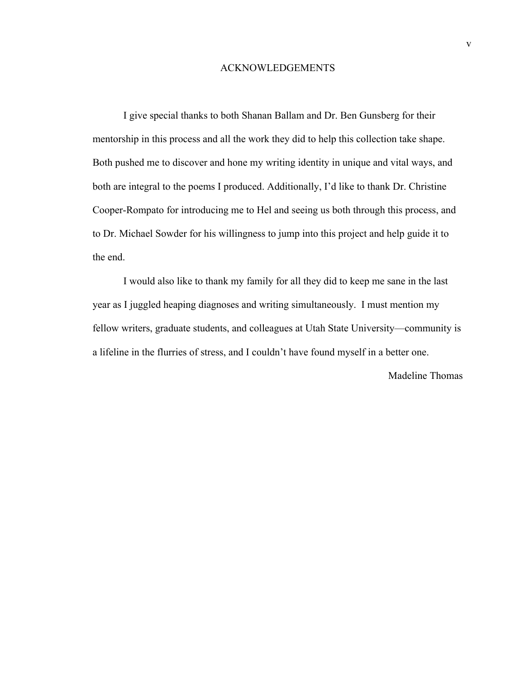#### ACKNOWLEDGEMENTS

I give special thanks to both Shanan Ballam and Dr. Ben Gunsberg for their mentorship in this process and all the work they did to help this collection take shape. Both pushed me to discover and hone my writing identity in unique and vital ways, and both are integral to the poems I produced. Additionally, I'd like to thank Dr. Christine Cooper-Rompato for introducing me to Hel and seeing us both through this process, and to Dr. Michael Sowder for his willingness to jump into this project and help guide it to the end.

I would also like to thank my family for all they did to keep me sane in the last year as I juggled heaping diagnoses and writing simultaneously. I must mention my fellow writers, graduate students, and colleagues at Utah State University—community is a lifeline in the flurries of stress, and I couldn't have found myself in a better one.

Madeline Thomas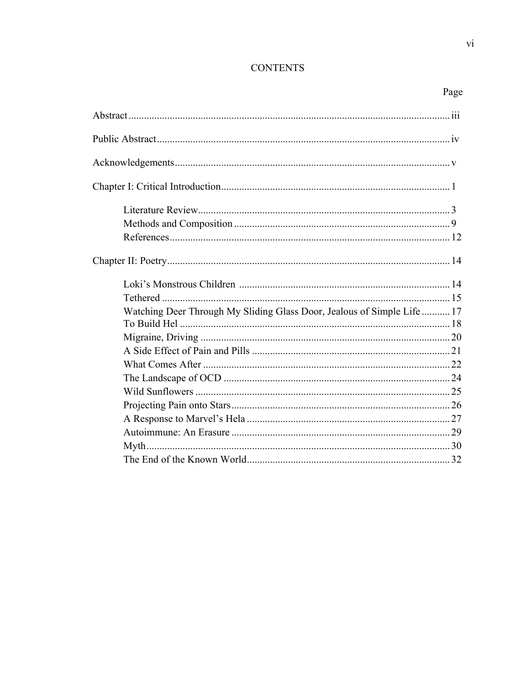## **CONTENTS**

| Watching Deer Through My Sliding Glass Door, Jealous of Simple Life  17 |  |
|-------------------------------------------------------------------------|--|
|                                                                         |  |
|                                                                         |  |
|                                                                         |  |
|                                                                         |  |
|                                                                         |  |
|                                                                         |  |
|                                                                         |  |
|                                                                         |  |
|                                                                         |  |
|                                                                         |  |
|                                                                         |  |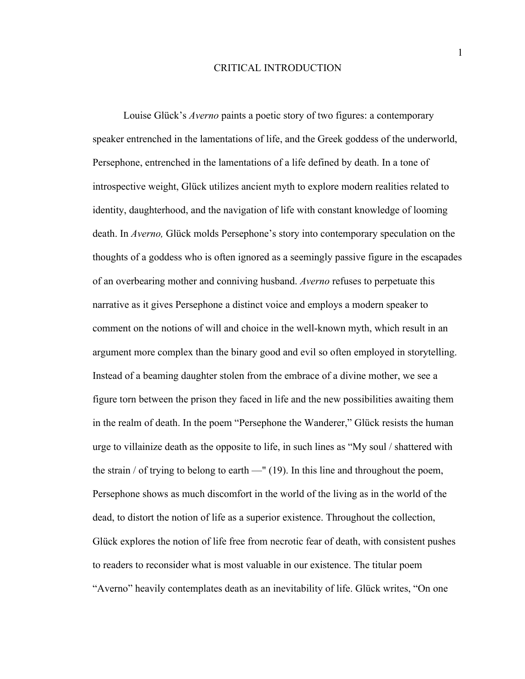#### CRITICAL INTRODUCTION

Louise Glück's *Averno* paints a poetic story of two figures: a contemporary speaker entrenched in the lamentations of life, and the Greek goddess of the underworld, Persephone, entrenched in the lamentations of a life defined by death. In a tone of introspective weight, Glück utilizes ancient myth to explore modern realities related to identity, daughterhood, and the navigation of life with constant knowledge of looming death. In *Averno,* Glück molds Persephone's story into contemporary speculation on the thoughts of a goddess who is often ignored as a seemingly passive figure in the escapades of an overbearing mother and conniving husband. *Averno* refuses to perpetuate this narrative as it gives Persephone a distinct voice and employs a modern speaker to comment on the notions of will and choice in the well-known myth, which result in an argument more complex than the binary good and evil so often employed in storytelling. Instead of a beaming daughter stolen from the embrace of a divine mother, we see a figure torn between the prison they faced in life and the new possibilities awaiting them in the realm of death. In the poem "Persephone the Wanderer," Glück resists the human urge to villainize death as the opposite to life, in such lines as "My soul / shattered with the strain / of trying to belong to earth —" (19). In this line and throughout the poem, Persephone shows as much discomfort in the world of the living as in the world of the dead, to distort the notion of life as a superior existence. Throughout the collection, Glück explores the notion of life free from necrotic fear of death, with consistent pushes to readers to reconsider what is most valuable in our existence. The titular poem "Averno" heavily contemplates death as an inevitability of life. Glück writes, "On one

1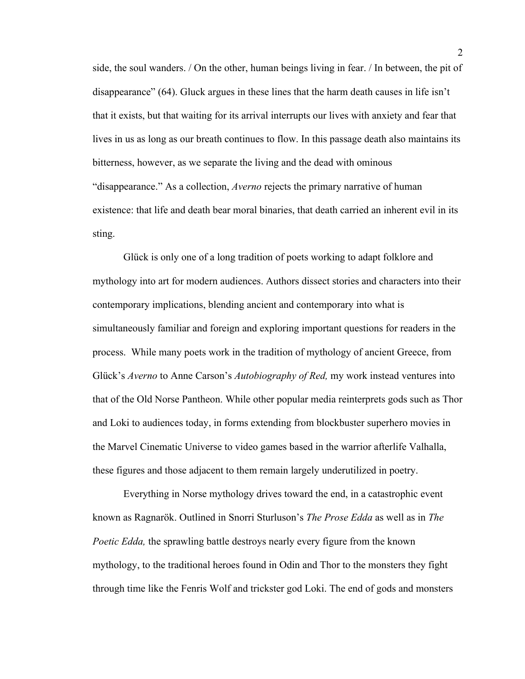side, the soul wanders. / On the other, human beings living in fear. / In between, the pit of disappearance" (64). Gluck argues in these lines that the harm death causes in life isn't that it exists, but that waiting for its arrival interrupts our lives with anxiety and fear that lives in us as long as our breath continues to flow. In this passage death also maintains its bitterness, however, as we separate the living and the dead with ominous "disappearance." As a collection, *Averno* rejects the primary narrative of human existence: that life and death bear moral binaries, that death carried an inherent evil in its sting.

Glück is only one of a long tradition of poets working to adapt folklore and mythology into art for modern audiences. Authors dissect stories and characters into their contemporary implications, blending ancient and contemporary into what is simultaneously familiar and foreign and exploring important questions for readers in the process. While many poets work in the tradition of mythology of ancient Greece, from Glück's *Averno* to Anne Carson's *Autobiography of Red,* my work instead ventures into that of the Old Norse Pantheon. While other popular media reinterprets gods such as Thor and Loki to audiences today, in forms extending from blockbuster superhero movies in the Marvel Cinematic Universe to video games based in the warrior afterlife Valhalla, these figures and those adjacent to them remain largely underutilized in poetry.

Everything in Norse mythology drives toward the end, in a catastrophic event known as Ragnarök. Outlined in Snorri Sturluson's *The Prose Edda* as well as in *The Poetic Edda*, the sprawling battle destroys nearly every figure from the known mythology, to the traditional heroes found in Odin and Thor to the monsters they fight through time like the Fenris Wolf and trickster god Loki. The end of gods and monsters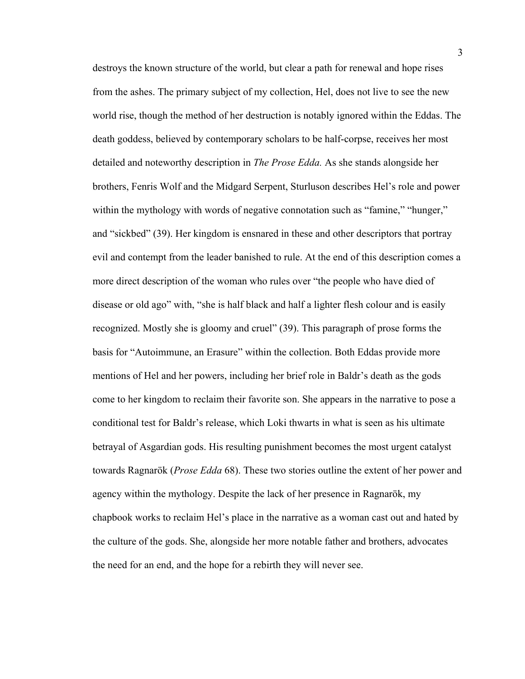destroys the known structure of the world, but clear a path for renewal and hope rises from the ashes. The primary subject of my collection, Hel, does not live to see the new world rise, though the method of her destruction is notably ignored within the Eddas. The death goddess, believed by contemporary scholars to be half-corpse, receives her most detailed and noteworthy description in *The Prose Edda.* As she stands alongside her brothers, Fenris Wolf and the Midgard Serpent, Sturluson describes Hel's role and power within the mythology with words of negative connotation such as "famine," "hunger," and "sickbed" (39). Her kingdom is ensnared in these and other descriptors that portray evil and contempt from the leader banished to rule. At the end of this description comes a more direct description of the woman who rules over "the people who have died of disease or old ago" with, "she is half black and half a lighter flesh colour and is easily recognized. Mostly she is gloomy and cruel" (39). This paragraph of prose forms the basis for "Autoimmune, an Erasure" within the collection. Both Eddas provide more mentions of Hel and her powers, including her brief role in Baldr's death as the gods come to her kingdom to reclaim their favorite son. She appears in the narrative to pose a conditional test for Baldr's release, which Loki thwarts in what is seen as his ultimate betrayal of Asgardian gods. His resulting punishment becomes the most urgent catalyst towards Ragnarök (*Prose Edda* 68). These two stories outline the extent of her power and agency within the mythology. Despite the lack of her presence in Ragnarök, my chapbook works to reclaim Hel's place in the narrative as a woman cast out and hated by the culture of the gods. She, alongside her more notable father and brothers, advocates the need for an end, and the hope for a rebirth they will never see.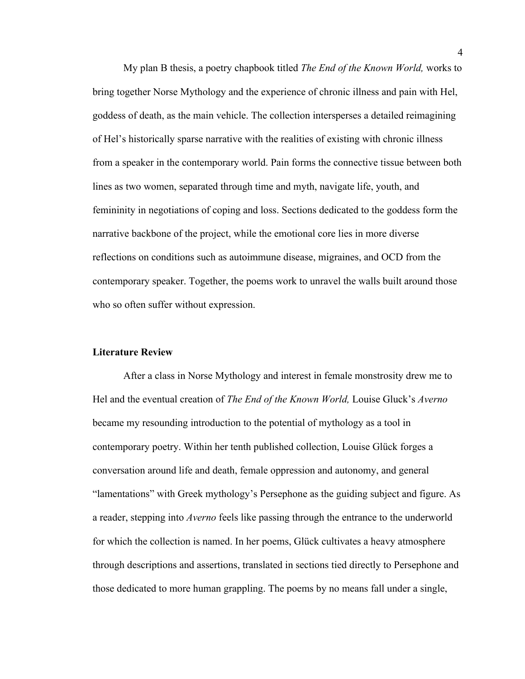My plan B thesis, a poetry chapbook titled *The End of the Known World,* works to bring together Norse Mythology and the experience of chronic illness and pain with Hel, goddess of death, as the main vehicle. The collection intersperses a detailed reimagining of Hel's historically sparse narrative with the realities of existing with chronic illness from a speaker in the contemporary world. Pain forms the connective tissue between both lines as two women, separated through time and myth, navigate life, youth, and femininity in negotiations of coping and loss. Sections dedicated to the goddess form the narrative backbone of the project, while the emotional core lies in more diverse reflections on conditions such as autoimmune disease, migraines, and OCD from the contemporary speaker. Together, the poems work to unravel the walls built around those who so often suffer without expression.

#### **Literature Review**

After a class in Norse Mythology and interest in female monstrosity drew me to Hel and the eventual creation of *The End of the Known World,* Louise Gluck's *Averno*  became my resounding introduction to the potential of mythology as a tool in contemporary poetry. Within her tenth published collection, Louise Glück forges a conversation around life and death, female oppression and autonomy, and general "lamentations" with Greek mythology's Persephone as the guiding subject and figure. As a reader, stepping into *Averno* feels like passing through the entrance to the underworld for which the collection is named. In her poems, Glück cultivates a heavy atmosphere through descriptions and assertions, translated in sections tied directly to Persephone and those dedicated to more human grappling. The poems by no means fall under a single,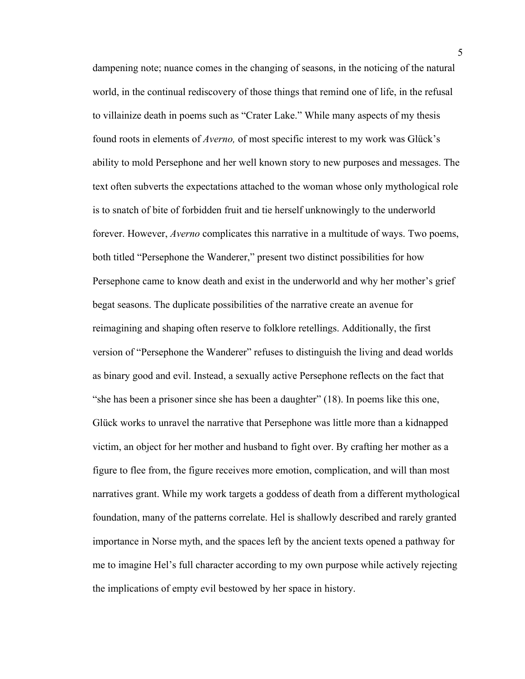dampening note; nuance comes in the changing of seasons, in the noticing of the natural world, in the continual rediscovery of those things that remind one of life, in the refusal to villainize death in poems such as "Crater Lake." While many aspects of my thesis found roots in elements of *Averno,* of most specific interest to my work was Glück's ability to mold Persephone and her well known story to new purposes and messages. The text often subverts the expectations attached to the woman whose only mythological role is to snatch of bite of forbidden fruit and tie herself unknowingly to the underworld forever. However, *Averno* complicates this narrative in a multitude of ways. Two poems, both titled "Persephone the Wanderer," present two distinct possibilities for how Persephone came to know death and exist in the underworld and why her mother's grief begat seasons. The duplicate possibilities of the narrative create an avenue for reimagining and shaping often reserve to folklore retellings. Additionally, the first version of "Persephone the Wanderer" refuses to distinguish the living and dead worlds as binary good and evil. Instead, a sexually active Persephone reflects on the fact that "she has been a prisoner since she has been a daughter" (18). In poems like this one, Glück works to unravel the narrative that Persephone was little more than a kidnapped victim, an object for her mother and husband to fight over. By crafting her mother as a figure to flee from, the figure receives more emotion, complication, and will than most narratives grant. While my work targets a goddess of death from a different mythological foundation, many of the patterns correlate. Hel is shallowly described and rarely granted importance in Norse myth, and the spaces left by the ancient texts opened a pathway for me to imagine Hel's full character according to my own purpose while actively rejecting the implications of empty evil bestowed by her space in history.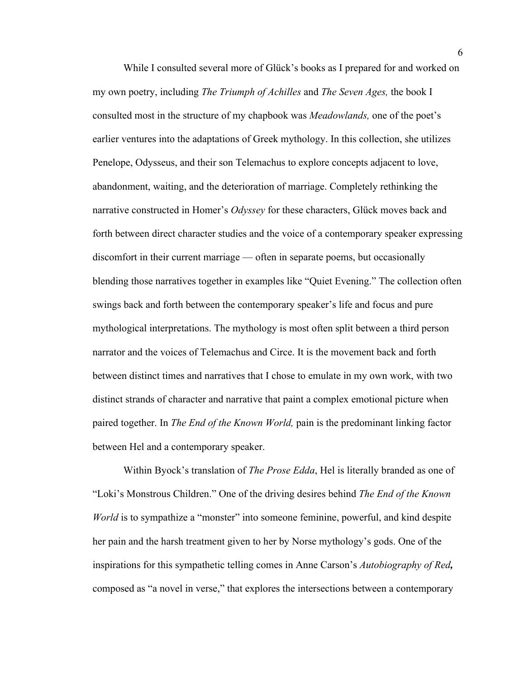While I consulted several more of Glück's books as I prepared for and worked on my own poetry, including *The Triumph of Achilles* and *The Seven Ages,* the book I consulted most in the structure of my chapbook was *Meadowlands,* one of the poet's earlier ventures into the adaptations of Greek mythology. In this collection, she utilizes Penelope, Odysseus, and their son Telemachus to explore concepts adjacent to love, abandonment, waiting, and the deterioration of marriage. Completely rethinking the narrative constructed in Homer's *Odyssey* for these characters, Glück moves back and forth between direct character studies and the voice of a contemporary speaker expressing discomfort in their current marriage — often in separate poems, but occasionally blending those narratives together in examples like "Quiet Evening." The collection often swings back and forth between the contemporary speaker's life and focus and pure mythological interpretations. The mythology is most often split between a third person narrator and the voices of Telemachus and Circe. It is the movement back and forth between distinct times and narratives that I chose to emulate in my own work, with two distinct strands of character and narrative that paint a complex emotional picture when paired together. In *The End of the Known World,* pain is the predominant linking factor between Hel and a contemporary speaker.

Within Byock's translation of *The Prose Edda*, Hel is literally branded as one of "Loki's Monstrous Children." One of the driving desires behind *The End of the Known World* is to sympathize a "monster" into someone feminine, powerful, and kind despite her pain and the harsh treatment given to her by Norse mythology's gods. One of the inspirations for this sympathetic telling comes in Anne Carson's *Autobiography of Red,*  composed as "a novel in verse," that explores the intersections between a contemporary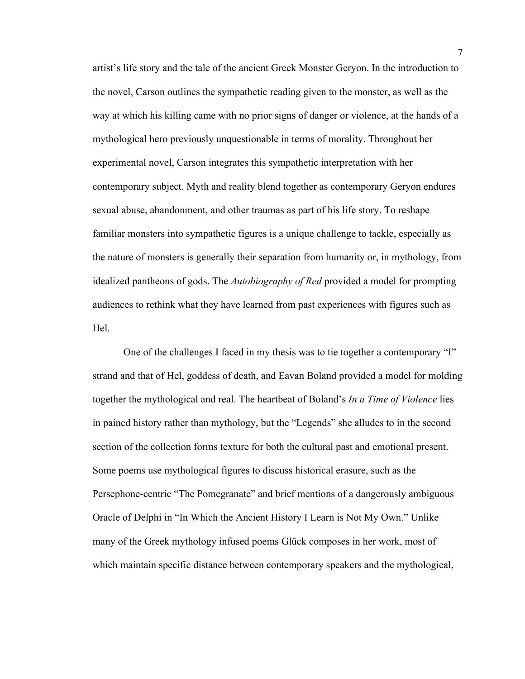artist's life story and the tale of the ancient Greek Monster Geryon. In the introduction to the novel, Carson outlines the sympathetic reading given to the monster, as well as the way at which his killing came with no prior signs of danger or violence, at the hands of a mythological hero previously unquestionable in terms of morality. Throughout her experimental novel, Carson integrates this sympathetic interpretation with her contemporary subject. Myth and reality blend together as contemporary Geryon endures sexual abuse, abandonment, and other traumas as part of his life story. To reshape familiar monsters into sympathetic figures is a unique challenge to tackle, especially as the nature of monsters is generally their separation from humanity or, in mythology, from idealized pantheons of gods. The *Autobiography of Red* provided a model for prompting audiences to rethink what they have learned from past experiences with figures such as Hel.

One of the challenges I faced in my thesis was to tie together a contemporary "I" strand and that of Hel, goddess of death, and Eavan Boland provided a model for molding together the mythological and real. The heartbeat of Boland's *In a Time of Violence* lies in pained history rather than mythology, but the "Legends" she alludes to in the second section of the collection forms texture for both the cultural past and emotional present. Some poems use mythological figures to discuss historical erasure, such as the Persephone-centric "The Pomegranate" and brief mentions of a dangerously ambiguous Oracle of Delphi in "In Which the Ancient History I Learn is Not My Own." Unlike many of the Greek mythology infused poems Glück composes in her work, most of which maintain specific distance between contemporary speakers and the mythological,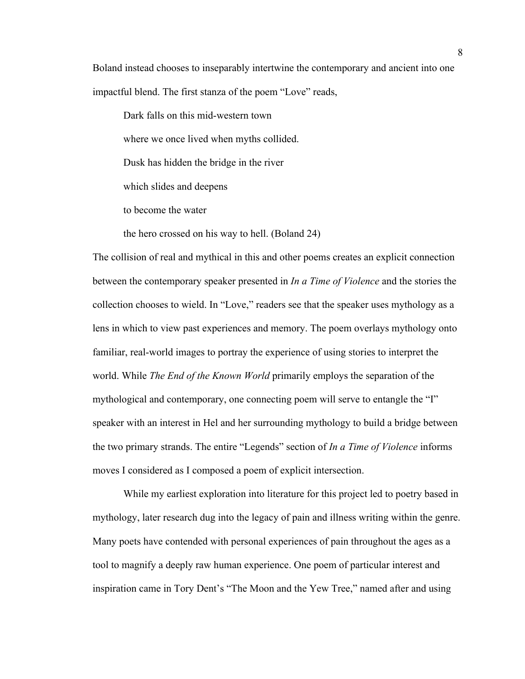Boland instead chooses to inseparably intertwine the contemporary and ancient into one impactful blend. The first stanza of the poem "Love" reads,

Dark falls on this mid-western town where we once lived when myths collided. Dusk has hidden the bridge in the river which slides and deepens to become the water

the hero crossed on his way to hell. (Boland 24)

The collision of real and mythical in this and other poems creates an explicit connection between the contemporary speaker presented in *In a Time of Violence* and the stories the collection chooses to wield. In "Love," readers see that the speaker uses mythology as a lens in which to view past experiences and memory. The poem overlays mythology onto familiar, real-world images to portray the experience of using stories to interpret the world. While *The End of the Known World* primarily employs the separation of the mythological and contemporary, one connecting poem will serve to entangle the "I" speaker with an interest in Hel and her surrounding mythology to build a bridge between the two primary strands. The entire "Legends" section of *In a Time of Violence* informs moves I considered as I composed a poem of explicit intersection.

While my earliest exploration into literature for this project led to poetry based in mythology, later research dug into the legacy of pain and illness writing within the genre. Many poets have contended with personal experiences of pain throughout the ages as a tool to magnify a deeply raw human experience. One poem of particular interest and inspiration came in Tory Dent's "The Moon and the Yew Tree," named after and using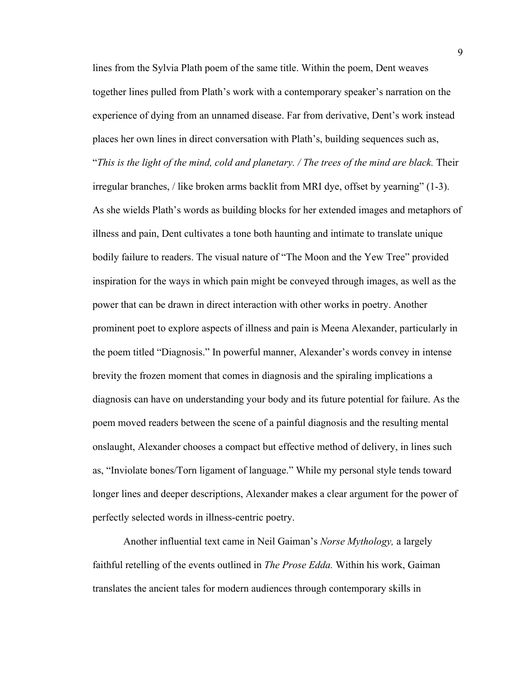lines from the Sylvia Plath poem of the same title. Within the poem, Dent weaves together lines pulled from Plath's work with a contemporary speaker's narration on the experience of dying from an unnamed disease. Far from derivative, Dent's work instead places her own lines in direct conversation with Plath's, building sequences such as, "*This is the light of the mind, cold and planetary. / The trees of the mind are black.* Their irregular branches, / like broken arms backlit from MRI dye, offset by yearning" (1-3). As she wields Plath's words as building blocks for her extended images and metaphors of illness and pain, Dent cultivates a tone both haunting and intimate to translate unique bodily failure to readers. The visual nature of "The Moon and the Yew Tree" provided inspiration for the ways in which pain might be conveyed through images, as well as the power that can be drawn in direct interaction with other works in poetry. Another prominent poet to explore aspects of illness and pain is Meena Alexander, particularly in the poem titled "Diagnosis." In powerful manner, Alexander's words convey in intense brevity the frozen moment that comes in diagnosis and the spiraling implications a diagnosis can have on understanding your body and its future potential for failure. As the poem moved readers between the scene of a painful diagnosis and the resulting mental onslaught, Alexander chooses a compact but effective method of delivery, in lines such as, "Inviolate bones/Torn ligament of language." While my personal style tends toward longer lines and deeper descriptions, Alexander makes a clear argument for the power of perfectly selected words in illness-centric poetry.

Another influential text came in Neil Gaiman's *Norse Mythology,* a largely faithful retelling of the events outlined in *The Prose Edda.* Within his work, Gaiman translates the ancient tales for modern audiences through contemporary skills in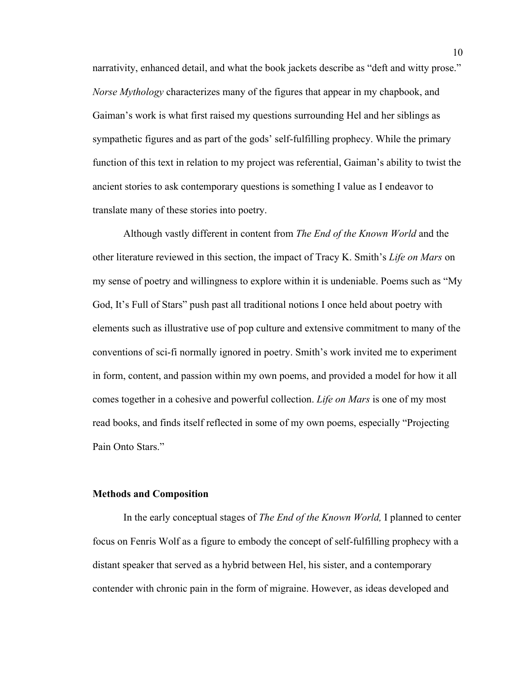narrativity, enhanced detail, and what the book jackets describe as "deft and witty prose." *Norse Mythology* characterizes many of the figures that appear in my chapbook, and Gaiman's work is what first raised my questions surrounding Hel and her siblings as sympathetic figures and as part of the gods' self-fulfilling prophecy. While the primary function of this text in relation to my project was referential, Gaiman's ability to twist the ancient stories to ask contemporary questions is something I value as I endeavor to translate many of these stories into poetry.

Although vastly different in content from *The End of the Known World* and the other literature reviewed in this section, the impact of Tracy K. Smith's *Life on Mars* on my sense of poetry and willingness to explore within it is undeniable. Poems such as "My God, It's Full of Stars" push past all traditional notions I once held about poetry with elements such as illustrative use of pop culture and extensive commitment to many of the conventions of sci-fi normally ignored in poetry. Smith's work invited me to experiment in form, content, and passion within my own poems, and provided a model for how it all comes together in a cohesive and powerful collection. *Life on Mars* is one of my most read books, and finds itself reflected in some of my own poems, especially "Projecting Pain Onto Stars."

#### **Methods and Composition**

In the early conceptual stages of *The End of the Known World,* I planned to center focus on Fenris Wolf as a figure to embody the concept of self-fulfilling prophecy with a distant speaker that served as a hybrid between Hel, his sister, and a contemporary contender with chronic pain in the form of migraine. However, as ideas developed and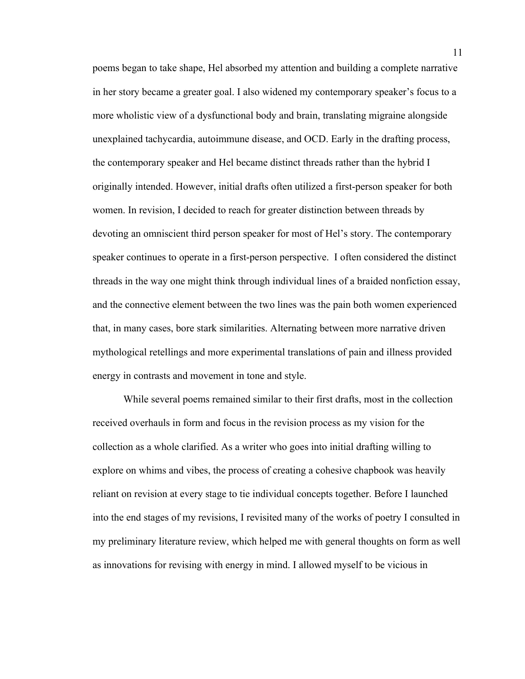poems began to take shape, Hel absorbed my attention and building a complete narrative in her story became a greater goal. I also widened my contemporary speaker's focus to a more wholistic view of a dysfunctional body and brain, translating migraine alongside unexplained tachycardia, autoimmune disease, and OCD. Early in the drafting process, the contemporary speaker and Hel became distinct threads rather than the hybrid I originally intended. However, initial drafts often utilized a first-person speaker for both women. In revision, I decided to reach for greater distinction between threads by devoting an omniscient third person speaker for most of Hel's story. The contemporary speaker continues to operate in a first-person perspective. I often considered the distinct threads in the way one might think through individual lines of a braided nonfiction essay, and the connective element between the two lines was the pain both women experienced that, in many cases, bore stark similarities. Alternating between more narrative driven mythological retellings and more experimental translations of pain and illness provided energy in contrasts and movement in tone and style.

While several poems remained similar to their first drafts, most in the collection received overhauls in form and focus in the revision process as my vision for the collection as a whole clarified. As a writer who goes into initial drafting willing to explore on whims and vibes, the process of creating a cohesive chapbook was heavily reliant on revision at every stage to tie individual concepts together. Before I launched into the end stages of my revisions, I revisited many of the works of poetry I consulted in my preliminary literature review, which helped me with general thoughts on form as well as innovations for revising with energy in mind. I allowed myself to be vicious in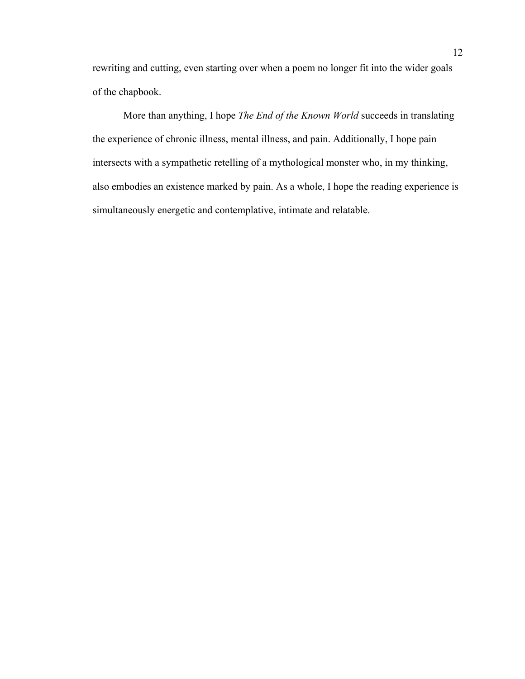rewriting and cutting, even starting over when a poem no longer fit into the wider goals of the chapbook.

More than anything, I hope *The End of the Known World* succeeds in translating the experience of chronic illness, mental illness, and pain. Additionally, I hope pain intersects with a sympathetic retelling of a mythological monster who, in my thinking, also embodies an existence marked by pain. As a whole, I hope the reading experience is simultaneously energetic and contemplative, intimate and relatable.